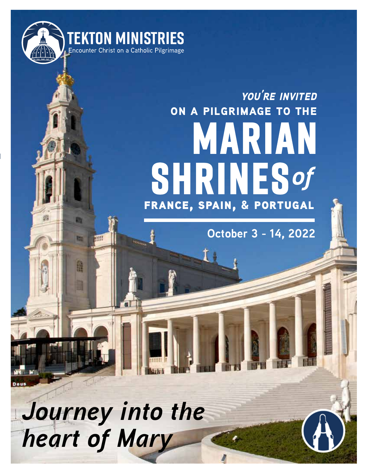

斷

甜

誦

areet

# **shrines** *of***marian on a pilgrimage to the** france, spain, & portugal *you're invited*

**October 3 - 14, 2022**

*Journey into the heart of Mary*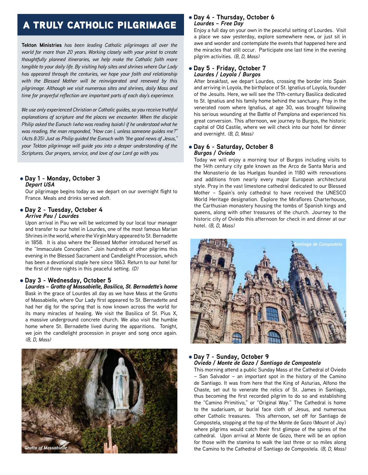## a truly catholic pilgrimage

**Tekton Ministries** *has been leading Catholic pilgrimages all over the world for more than 20 years. Working closely with your priest to create thoughtfully planned itineraries, we help make the Catholic faith more tangible to your daily life. By visiting holy sites and shrines where Our Lady has appeared through the centuries, we hope your faith and relationship with the Blessed Mother will be reinvigorated and renewed by this pilgrimage. Although we visit numerous sites and shrines, daily Mass and time for prayerful reflection are important parts of each day's experience.*

*We use only experienced Christian or Catholic guides, so you receive truthful explanations of scripture and the places we encounter. When the disciple Philip asked the Eunuch (who was reading Isaiah) if he understood what he was reading, the man responded, "How can I, unless someone guides me?" (Acts 8:35) Just as Philip guided the Eunuch with "the good news of Jesus," your Tekton pilgrimage will guide you into a deeper understanding of the Scriptures. Our prayers, service, and love of our Lord go with you.*

#### l **Day 1 - Monday, October 3**  *Depart USA*

Our pilgrimage begins today as we depart on our overnight flight to France. Meals and drinks served aloft.

#### l **Day 2 - Tuesday, October 4** *Arrive Pau / Lourdes*

Upon arrival in Pau we will be welcomed by our local tour manager and transfer to our hotel in Lourdes, one of the most famous Marian Shrines in the world, where the Virgin Mary appeared to St. Bernadette in 1858. It is also where the Blessed Mother introduced herself as the "Immaculate Conception." Join hundreds of other pilgrims this evening in the Blessed Sacrament and Candlelight Procession, which has been a devotional staple here since 1863. Return to our hotel for the first of three nights in this peaceful setting. *(D)*

#### l **Day 3 - Wednesday, October 5**

*Lourdes – Grotto of Massabielle, Basilica, St. Bernadette's home* Bask in the grace of Lourdes all day as we have Mass at the Grotto of Massabielle, where Our Lady first appeared to St. Bernadette and had her dig for the spring that is now known across the world for its many miracles of healing. We visit the Basilica of St. Pius X, a massive underground concrete church. We also visit the humble home where St. Bernadette lived during the apparitions. Tonight, we join the candlelight procession in prayer and song once again. *(B, D, Mass)*



#### l **Day 4 - Thursday, October 6**  *Lourdes – Free Day*

Enjoy a full day on your own in the peaceful setting of Lourdes. Visit a place we saw yesterday, explore somewhere new, or just sit in awe and wonder and contemplate the events that happened here and the miracles that still occur. Participate one last time in the evening pilgrim activities. *(B, D, Mass)*

#### l **Day 5 - Friday, October 7**  *Lourdes / Loyola / Burgos*

After breakfast, we depart Lourdes, crossing the border into Spain and arriving in Loyola, the birthplace of St. Ignatius of Loyola, founder of the Jesuits. Here, we will see the 17th-century Basilica dedicated to St. Ignatius and his family home behind the sanctuary. Pray in the venerated room where Ignatius, at age 30, was brought following his serious wounding at the Battle of Pamplona and experienced his great conversion. This afternoon, we journey to Burgos, the historic capital of Old Castile, where we will check into our hotel for dinner and overnight. *(B, D, Mass)*

#### l **Day 6 - Saturday, October 8**  *Burgos / Oviedo*

Today we will enjoy a morning tour of Burgos including visits to the 14th century city gate known as the Arco de Santa Maria and the Monasterio de las Huelgas founded in 1180 with renovations and additions from nearly every major European architectural style. Pray in the vast limestone cathedral dedicated to our Blessed Mother – Spain's only cathedral to have received the UNESCO World Heritage designation. Explore the Miraflores Charterhouse, the Carthusian monastery housing the tombs of Spanish kings and queens, along with other treasures of the church. Journey to the historic city of Oviedo this afternoon for check in and dinner at our hotel. *(B, D, Mass)*



#### l **Day 7 - Sunday, October 9**  *Oviedo / Monte de Gozo / Santiago de Compostela*

This morning attend a public Sunday Mass at the Cathedral of Oviedo – San Salvador – an important spot in the history of the Camino de Santiago. It was from here that the King of Asturias, Alfono the Chaste, set out to venerate the relics of St. James in Santiago, thus becoming the first recorded pilgrim to do so and establishing the "Camino Primitivo," or "Original Way." The Cathedral is home to the sudariuam, or burial face cloth of Jesus, and numerous other Catholic treasures. This afternoon, set off for Santiago de Compostela, stopping at the top of the Monte de Gozo (Mount of Joy) where pilgrims would catch their first glimpse of the spires of the cathedral. Upon arrival at Monte de Gozo, there will be an option for those with the stamina to walk the last three or so miles along the Camino to the Cathedral of Santiago de Compostela. *(B, D, Mass)*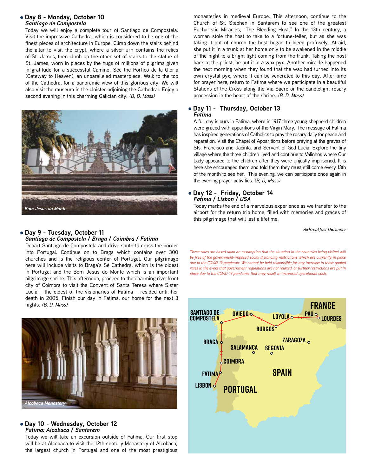#### l **Day 8 - Monday, October 10**  *Santiago de Compostela*

Today we will enjoy a complete tour of Santiago de Compostela. Visit the impressive Cathedral which is considered to be one of the finest pieces of architecture in Europe. Climb down the stairs behind the altar to visit the crypt, where a silver urn contains the relics of St. James, then climb up the other set of stairs to the statue of St. James, worn in places by the hugs of millions of pilgrims given in gratitude for a successful Camino. See the Portico de la Gloria (Gateway to Heaven), an unparalleled masterpiece. Walk to the top of the Cathedral for a panoramic view of this glorious city. We will also visit the museum in the cloister adjoining the Cathedral. Enjoy a second evening in this charming Galician city. *(B, D, Mass)*



### **a** Day 9 - Tuesday, October 11 *B=Breakfast D=Dinner* **Day 9 - Tuesday, October 11** *Santiago de Compostela / Braga / Coimbra / Fatima*

Depart Santiago de Compostela and drive south to cross the border into Portugal. Continue on to Braga which contains over 300 churches and is the religious center of Portugal. Our pilgrimage here will include visits to Braga's Sé Cathedral which is the oldest in Portugal and the Bom Jesus do Monte which is an important pilgrimage shrine. This afternoon, proceed to the charming riverfront city of Coimbra to visit the Convent of Santa Teresa where Sister Lucia – the eldest of the visionaries of Fatima – resided until her death in 2005. Finish our day in Fatima, our home for the next 3 nights. *(B, D, Mass)*



#### l **Day 10 - Wednesday, October 12**  *Fatima: Alcobaca / Santarem*

Today we will take an excursion outside of Fatima. Our first stop will be at Alcobaca to visit the 12th century Monastery of Alcobaca, the largest church in Portugal and one of the most prestigious monasteries in medieval Europe. This afternoon, continue to the Church of St. Stephen in Santarem to see one of the greatest Eucharistic Miracles, "The Bleeding Host." In the 13th century, a woman stole the host to take to a fortune-teller, but as she was taking it out of church the host began to bleed profusely. Afraid, she put it in a trunk at her home only to be awakened in the middle of the night to a bright light coming from the trunk. Taking the host back to the priest, he put it in a wax pyx. Another miracle happened the next morning when they found that the wax had turned into its own crystal pyx, where it can be venerated to this day. After time for prayer here, return to Fatima where we participate in a beautiful Stations of the Cross along the Via Sacre or the candlelight rosary procession in the heart of the shrine. *(B, D, Mass)*

#### l **Day 11 - Thursday, October 13**  *Fatima*

A full day is ours in Fatima, where in 1917 three young shepherd children were graced with apparitions of the Virgin Mary. The message of Fatima has inspired generations of Catholics to pray the rosary daily for peace and reparation. Visit the Chapel of Apparitions before praying at the graves of Sts. Francisco and Jacinta, and Servant of God Lucia. Explore the tiny village where the three children lived and continue to Valinhos where Our Lady appeared to the children after they were unjustly imprisoned. It is here she encouraged them and told them they must still come every 13th of the month to see her. This evening, we can participate once again in the evening prayer activities. *(B, D, Mass)*

#### l **Day 12 - Friday, October 14**  *Fatima / Lisbon / USA*

Today marks the end of a marvelous experience as we transfer to the airport for the return trip home, filled with memories and graces of this pilgrimage that will last a lifetime.

*These rates are based upon an assumption that the situation in the countries being visited will be free of the government-imposed social distancing restrictions which are currently in place due to the COVID-19 pandemic. We cannot be held responsible for any increase in these quoted rates in the event that government regulations are not relaxed, or further restrictions are put in place due to the COVID-19 pandemic that may result in increased operational costs.*